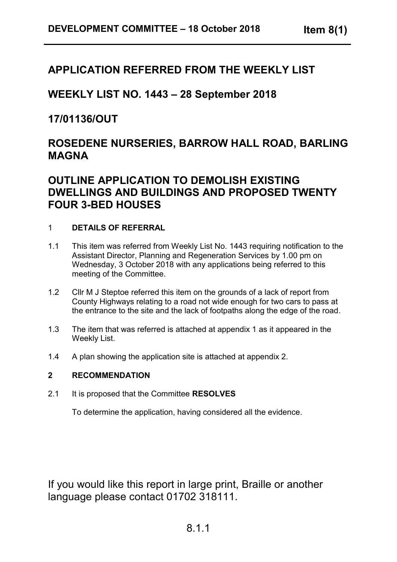# **APPLICATION REFERRED FROM THE WEEKLY LIST**

**WEEKLY LIST NO. 1443 – 28 September 2018**

**17/01136/OUT**

# **ROSEDENE NURSERIES, BARROW HALL ROAD, BARLING MAGNA**

# **OUTLINE APPLICATION TO DEMOLISH EXISTING DWELLINGS AND BUILDINGS AND PROPOSED TWENTY FOUR 3-BED HOUSES**

## 1 **DETAILS OF REFERRAL**

- 1.1 This item was referred from Weekly List No. 1443 requiring notification to the Assistant Director, Planning and Regeneration Services by 1.00 pm on Wednesday, 3 October 2018 with any applications being referred to this meeting of the Committee.
- 1.2 Cllr M J Steptoe referred this item on the grounds of a lack of report from County Highways relating to a road not wide enough for two cars to pass at the entrance to the site and the lack of footpaths along the edge of the road.
- 1.3 The item that was referred is attached at appendix 1 as it appeared in the Weekly List.
- 1.4 A plan showing the application site is attached at appendix 2.

## **2 RECOMMENDATION**

2.1 It is proposed that the Committee **RESOLVES**

To determine the application, having considered all the evidence.

If you would like this report in large print, Braille or another language please contact 01702 318111.

# 8.1.1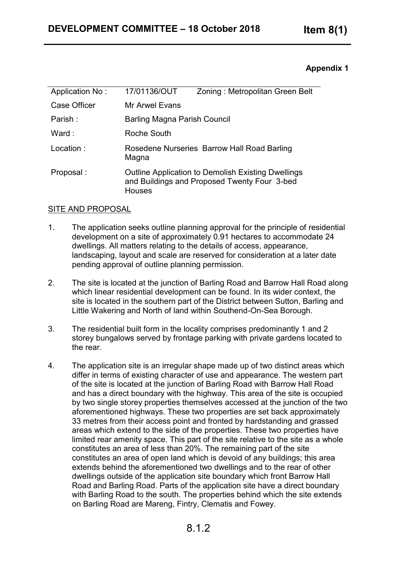## **Appendix 1**

| Application No: | 17/01136/OUT                                         | Zoning: Metropolitan Green Belt                                                                           |
|-----------------|------------------------------------------------------|-----------------------------------------------------------------------------------------------------------|
| Case Officer    | Mr Arwel Evans                                       |                                                                                                           |
| Parish:         | Barling Magna Parish Council                         |                                                                                                           |
| Ward :          | Roche South                                          |                                                                                                           |
| Location:       | Rosedene Nurseries Barrow Hall Road Barling<br>Magna |                                                                                                           |
| Proposal:       | <b>Houses</b>                                        | <b>Outline Application to Demolish Existing Dwellings</b><br>and Buildings and Proposed Twenty Four 3-bed |

### SITE AND PROPOSAL

- 1. The application seeks outline planning approval for the principle of residential development on a site of approximately 0.91 hectares to accommodate 24 dwellings. All matters relating to the details of access, appearance, landscaping, layout and scale are reserved for consideration at a later date pending approval of outline planning permission.
- 2. The site is located at the junction of Barling Road and Barrow Hall Road along which linear residential development can be found. In its wider context, the site is located in the southern part of the District between Sutton, Barling and Little Wakering and North of land within Southend-On-Sea Borough.
- 3. The residential built form in the locality comprises predominantly 1 and 2 storey bungalows served by frontage parking with private gardens located to the rear.
- 4. The application site is an irregular shape made up of two distinct areas which differ in terms of existing character of use and appearance. The western part of the site is located at the junction of Barling Road with Barrow Hall Road and has a direct boundary with the highway. This area of the site is occupied by two single storey properties themselves accessed at the junction of the two aforementioned highways. These two properties are set back approximately 33 metres from their access point and fronted by hardstanding and grassed areas which extend to the side of the properties. These two properties have limited rear amenity space. This part of the site relative to the site as a whole constitutes an area of less than 20%. The remaining part of the site constitutes an area of open land which is devoid of any buildings; this area extends behind the aforementioned two dwellings and to the rear of other dwellings outside of the application site boundary which front Barrow Hall Road and Barling Road. Parts of the application site have a direct boundary with Barling Road to the south. The properties behind which the site extends on Barling Road are Mareng, Fintry, Clematis and Fowey.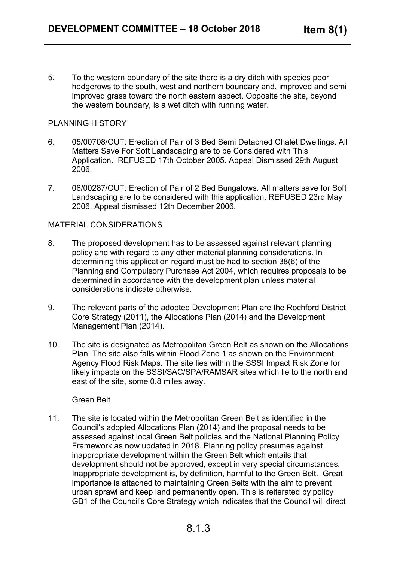5. To the western boundary of the site there is a dry ditch with species poor hedgerows to the south, west and northern boundary and, improved and semi improved grass toward the north eastern aspect. Opposite the site, beyond the western boundary, is a wet ditch with running water.

#### PLANNING HISTORY

- 6. 05/00708/OUT: Erection of Pair of 3 Bed Semi Detached Chalet Dwellings. All Matters Save For Soft Landscaping are to be Considered with This Application. REFUSED 17th October 2005. Appeal Dismissed 29th August 2006.
- 7. 06/00287/OUT: Erection of Pair of 2 Bed Bungalows. All matters save for Soft Landscaping are to be considered with this application. REFUSED 23rd May 2006. Appeal dismissed 12th December 2006.

#### MATERIAL CONSIDERATIONS

- 8. The proposed development has to be assessed against relevant planning policy and with regard to any other material planning considerations. In determining this application regard must be had to section 38(6) of the Planning and Compulsory Purchase Act 2004, which requires proposals to be determined in accordance with the development plan unless material considerations indicate otherwise.
- 9. The relevant parts of the adopted Development Plan are the Rochford District Core Strategy (2011), the Allocations Plan (2014) and the Development Management Plan (2014).
- 10. The site is designated as Metropolitan Green Belt as shown on the Allocations Plan. The site also falls within Flood Zone 1 as shown on the Environment Agency Flood Risk Maps. The site lies within the SSSI Impact Risk Zone for likely impacts on the SSSI/SAC/SPA/RAMSAR sites which lie to the north and east of the site, some 0.8 miles away.

#### Green Belt

11. The site is located within the Metropolitan Green Belt as identified in the Council's adopted Allocations Plan (2014) and the proposal needs to be assessed against local Green Belt policies and the National Planning Policy Framework as now updated in 2018. Planning policy presumes against inappropriate development within the Green Belt which entails that development should not be approved, except in very special circumstances. Inappropriate development is, by definition, harmful to the Green Belt. Great importance is attached to maintaining Green Belts with the aim to prevent urban sprawl and keep land permanently open. This is reiterated by policy GB1 of the Council's Core Strategy which indicates that the Council will direct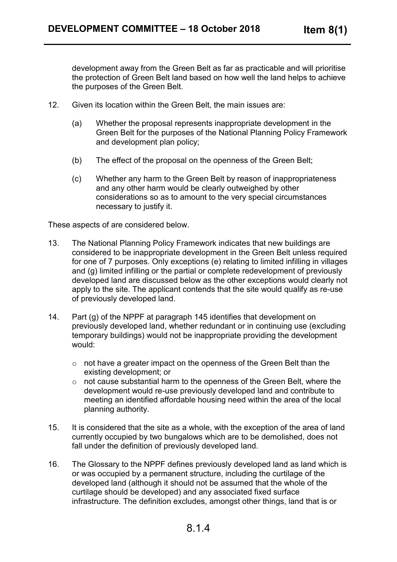development away from the Green Belt as far as practicable and will prioritise the protection of Green Belt land based on how well the land helps to achieve the purposes of the Green Belt.

- 12. Given its location within the Green Belt, the main issues are:
	- (a) Whether the proposal represents inappropriate development in the Green Belt for the purposes of the National Planning Policy Framework and development plan policy;
	- (b) The effect of the proposal on the openness of the Green Belt;
	- (c) Whether any harm to the Green Belt by reason of inappropriateness and any other harm would be clearly outweighed by other considerations so as to amount to the very special circumstances necessary to justify it.

These aspects of are considered below.

- 13. The National Planning Policy Framework indicates that new buildings are considered to be inappropriate development in the Green Belt unless required for one of 7 purposes. Only exceptions (e) relating to limited infilling in villages and (g) limited infilling or the partial or complete redevelopment of previously developed land are discussed below as the other exceptions would clearly not apply to the site. The applicant contends that the site would qualify as re-use of previously developed land.
- 14. Part (g) of the NPPF at paragraph 145 identifies that development on previously developed land, whether redundant or in continuing use (excluding temporary buildings) would not be inappropriate providing the development would:
	- o not have a greater impact on the openness of the Green Belt than the existing development; or
	- o not cause substantial harm to the openness of the Green Belt, where the development would re-use previously developed land and contribute to meeting an identified affordable housing need within the area of the local planning authority.
- 15. It is considered that the site as a whole, with the exception of the area of land currently occupied by two bungalows which are to be demolished, does not fall under the definition of previously developed land.
- 16. The Glossary to the NPPF defines previously developed land as land which is or was occupied by a permanent structure, including the curtilage of the developed land (although it should not be assumed that the whole of the curtilage should be developed) and any associated fixed surface infrastructure. The definition excludes, amongst other things, land that is or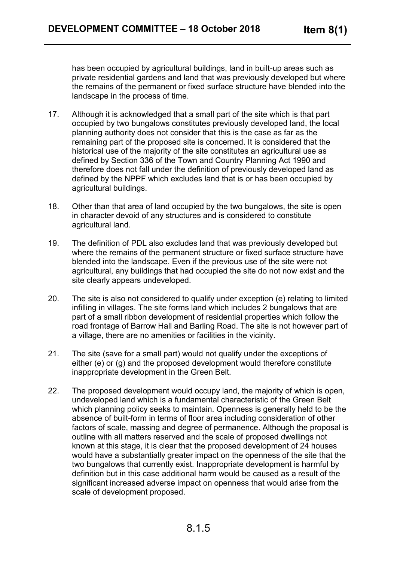has been occupied by agricultural buildings, land in built-up areas such as private residential gardens and land that was previously developed but where the remains of the permanent or fixed surface structure have blended into the landscape in the process of time.

- 17. Although it is acknowledged that a small part of the site which is that part occupied by two bungalows constitutes previously developed land, the local planning authority does not consider that this is the case as far as the remaining part of the proposed site is concerned. It is considered that the historical use of the majority of the site constitutes an agricultural use as defined by Section 336 of the Town and Country Planning Act 1990 and therefore does not fall under the definition of previously developed land as defined by the NPPF which excludes land that is or has been occupied by agricultural buildings.
- 18. Other than that area of land occupied by the two bungalows, the site is open in character devoid of any structures and is considered to constitute agricultural land.
- 19. The definition of PDL also excludes land that was previously developed but where the remains of the permanent structure or fixed surface structure have blended into the landscape. Even if the previous use of the site were not agricultural, any buildings that had occupied the site do not now exist and the site clearly appears undeveloped.
- 20. The site is also not considered to qualify under exception (e) relating to limited infilling in villages. The site forms land which includes 2 bungalows that are part of a small ribbon development of residential properties which follow the road frontage of Barrow Hall and Barling Road. The site is not however part of a village, there are no amenities or facilities in the vicinity.
- 21. The site (save for a small part) would not qualify under the exceptions of either (e) or (g) and the proposed development would therefore constitute inappropriate development in the Green Belt.
- 22. The proposed development would occupy land, the majority of which is open, undeveloped land which is a fundamental characteristic of the Green Belt which planning policy seeks to maintain. Openness is generally held to be the absence of built-form in terms of floor area including consideration of other factors of scale, massing and degree of permanence. Although the proposal is outline with all matters reserved and the scale of proposed dwellings not known at this stage, it is clear that the proposed development of 24 houses would have a substantially greater impact on the openness of the site that the two bungalows that currently exist. Inappropriate development is harmful by definition but in this case additional harm would be caused as a result of the significant increased adverse impact on openness that would arise from the scale of development proposed.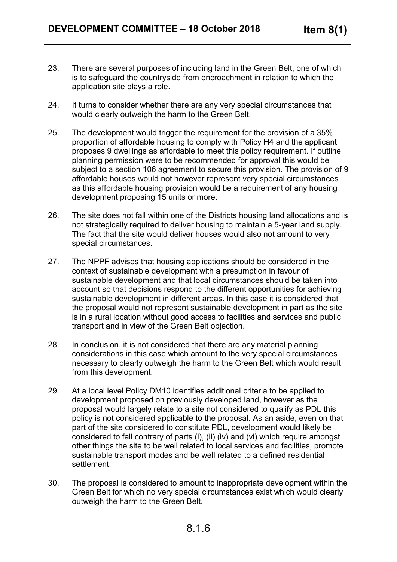- 23. There are several purposes of including land in the Green Belt, one of which is to safeguard the countryside from encroachment in relation to which the application site plays a role.
- 24. It turns to consider whether there are any very special circumstances that would clearly outweigh the harm to the Green Belt.
- 25. The development would trigger the requirement for the provision of a 35% proportion of affordable housing to comply with Policy H4 and the applicant proposes 9 dwellings as affordable to meet this policy requirement. If outline planning permission were to be recommended for approval this would be subject to a section 106 agreement to secure this provision. The provision of 9 affordable houses would not however represent very special circumstances as this affordable housing provision would be a requirement of any housing development proposing 15 units or more.
- 26. The site does not fall within one of the Districts housing land allocations and is not strategically required to deliver housing to maintain a 5-year land supply. The fact that the site would deliver houses would also not amount to very special circumstances.
- 27. The NPPF advises that housing applications should be considered in the context of sustainable development with a presumption in favour of sustainable development and that local circumstances should be taken into account so that decisions respond to the different opportunities for achieving sustainable development in different areas. In this case it is considered that the proposal would not represent sustainable development in part as the site is in a rural location without good access to facilities and services and public transport and in view of the Green Belt objection.
- 28. In conclusion, it is not considered that there are any material planning considerations in this case which amount to the very special circumstances necessary to clearly outweigh the harm to the Green Belt which would result from this development.
- 29. At a local level Policy DM10 identifies additional criteria to be applied to development proposed on previously developed land, however as the proposal would largely relate to a site not considered to qualify as PDL this policy is not considered applicable to the proposal. As an aside, even on that part of the site considered to constitute PDL, development would likely be considered to fall contrary of parts (i), (ii) (iv) and (vi) which require amongst other things the site to be well related to local services and facilities, promote sustainable transport modes and be well related to a defined residential settlement.
- 30. The proposal is considered to amount to inappropriate development within the Green Belt for which no very special circumstances exist which would clearly outweigh the harm to the Green Belt.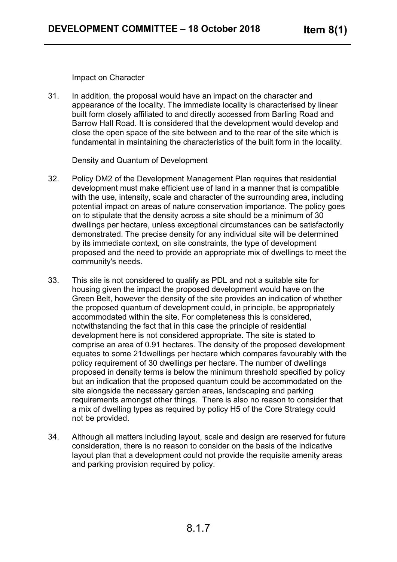Impact on Character

31. In addition, the proposal would have an impact on the character and appearance of the locality. The immediate locality is characterised by linear built form closely affiliated to and directly accessed from Barling Road and Barrow Hall Road. It is considered that the development would develop and close the open space of the site between and to the rear of the site which is fundamental in maintaining the characteristics of the built form in the locality.

Density and Quantum of Development

- 32. Policy DM2 of the Development Management Plan requires that residential development must make efficient use of land in a manner that is compatible with the use, intensity, scale and character of the surrounding area, including potential impact on areas of nature conservation importance. The policy goes on to stipulate that the density across a site should be a minimum of 30 dwellings per hectare, unless exceptional circumstances can be satisfactorily demonstrated. The precise density for any individual site will be determined by its immediate context, on site constraints, the type of development proposed and the need to provide an appropriate mix of dwellings to meet the community's needs.
- 33. This site is not considered to qualify as PDL and not a suitable site for housing given the impact the proposed development would have on the Green Belt, however the density of the site provides an indication of whether the proposed quantum of development could, in principle, be appropriately accommodated within the site. For completeness this is considered, notwithstanding the fact that in this case the principle of residential development here is not considered appropriate. The site is stated to comprise an area of 0.91 hectares. The density of the proposed development equates to some 21dwellings per hectare which compares favourably with the policy requirement of 30 dwellings per hectare. The number of dwellings proposed in density terms is below the minimum threshold specified by policy but an indication that the proposed quantum could be accommodated on the site alongside the necessary garden areas, landscaping and parking requirements amongst other things. There is also no reason to consider that a mix of dwelling types as required by policy H5 of the Core Strategy could not be provided.
- 34. Although all matters including layout, scale and design are reserved for future consideration, there is no reason to consider on the basis of the indicative layout plan that a development could not provide the requisite amenity areas and parking provision required by policy.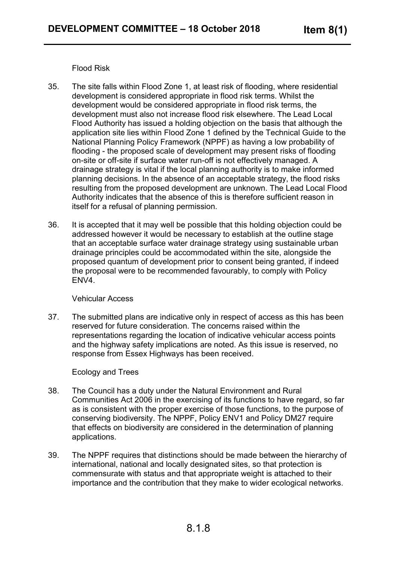Flood Risk

- 35. The site falls within Flood Zone 1, at least risk of flooding, where residential development is considered appropriate in flood risk terms. Whilst the development would be considered appropriate in flood risk terms, the development must also not increase flood risk elsewhere. The Lead Local Flood Authority has issued a holding objection on the basis that although the application site lies within Flood Zone 1 defined by the Technical Guide to the National Planning Policy Framework (NPPF) as having a low probability of flooding - the proposed scale of development may present risks of flooding on-site or off-site if surface water run-off is not effectively managed. A drainage strategy is vital if the local planning authority is to make informed planning decisions. In the absence of an acceptable strategy, the flood risks resulting from the proposed development are unknown. The Lead Local Flood Authority indicates that the absence of this is therefore sufficient reason in itself for a refusal of planning permission.
- 36. It is accepted that it may well be possible that this holding objection could be addressed however it would be necessary to establish at the outline stage that an acceptable surface water drainage strategy using sustainable urban drainage principles could be accommodated within the site, alongside the proposed quantum of development prior to consent being granted, if indeed the proposal were to be recommended favourably, to comply with Policy ENV4.

#### Vehicular Access

37. The submitted plans are indicative only in respect of access as this has been reserved for future consideration. The concerns raised within the representations regarding the location of indicative vehicular access points and the highway safety implications are noted. As this issue is reserved, no response from Essex Highways has been received.

#### Ecology and Trees

- 38. The Council has a duty under the Natural Environment and Rural Communities Act 2006 in the exercising of its functions to have regard, so far as is consistent with the proper exercise of those functions, to the purpose of conserving biodiversity. The NPPF, Policy ENV1 and Policy DM27 require that effects on biodiversity are considered in the determination of planning applications.
- 39. The NPPF requires that distinctions should be made between the hierarchy of international, national and locally designated sites, so that protection is commensurate with status and that appropriate weight is attached to their importance and the contribution that they make to wider ecological networks.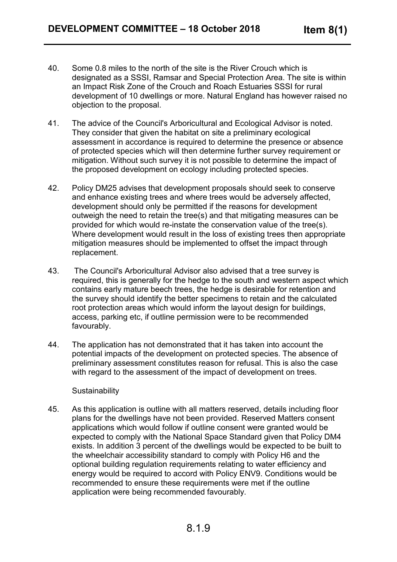- 40. Some 0.8 miles to the north of the site is the River Crouch which is designated as a SSSI, Ramsar and Special Protection Area. The site is within an Impact Risk Zone of the Crouch and Roach Estuaries SSSI for rural development of 10 dwellings or more. Natural England has however raised no objection to the proposal.
- 41. The advice of the Council's Arboricultural and Ecological Advisor is noted. They consider that given the habitat on site a preliminary ecological assessment in accordance is required to determine the presence or absence of protected species which will then determine further survey requirement or mitigation. Without such survey it is not possible to determine the impact of the proposed development on ecology including protected species.
- 42. Policy DM25 advises that development proposals should seek to conserve and enhance existing trees and where trees would be adversely affected, development should only be permitted if the reasons for development outweigh the need to retain the tree(s) and that mitigating measures can be provided for which would re-instate the conservation value of the tree(s). Where development would result in the loss of existing trees then appropriate mitigation measures should be implemented to offset the impact through replacement.
- 43. The Council's Arboricultural Advisor also advised that a tree survey is required, this is generally for the hedge to the south and western aspect which contains early mature beech trees, the hedge is desirable for retention and the survey should identify the better specimens to retain and the calculated root protection areas which would inform the layout design for buildings, access, parking etc, if outline permission were to be recommended favourably.
- 44. The application has not demonstrated that it has taken into account the potential impacts of the development on protected species. The absence of preliminary assessment constitutes reason for refusal. This is also the case with regard to the assessment of the impact of development on trees.

#### **Sustainability**

45. As this application is outline with all matters reserved, details including floor plans for the dwellings have not been provided. Reserved Matters consent applications which would follow if outline consent were granted would be expected to comply with the National Space Standard given that Policy DM4 exists. In addition 3 percent of the dwellings would be expected to be built to the wheelchair accessibility standard to comply with Policy H6 and the optional building regulation requirements relating to water efficiency and energy would be required to accord with Policy ENV9. Conditions would be recommended to ensure these requirements were met if the outline application were being recommended favourably.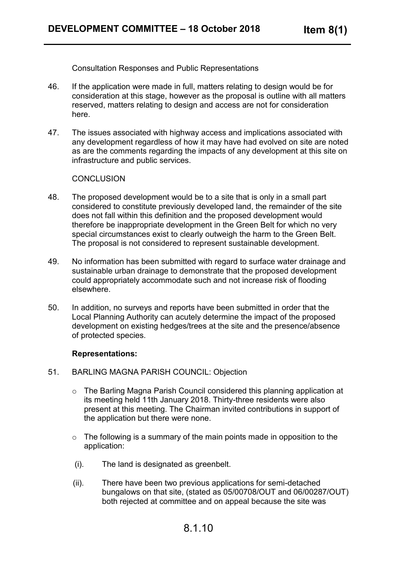Consultation Responses and Public Representations

- 46. If the application were made in full, matters relating to design would be for consideration at this stage, however as the proposal is outline with all matters reserved, matters relating to design and access are not for consideration here.
- 47. The issues associated with highway access and implications associated with any development regardless of how it may have had evolved on site are noted as are the comments regarding the impacts of any development at this site on infrastructure and public services.

#### **CONCLUSION**

- 48. The proposed development would be to a site that is only in a small part considered to constitute previously developed land, the remainder of the site does not fall within this definition and the proposed development would therefore be inappropriate development in the Green Belt for which no very special circumstances exist to clearly outweigh the harm to the Green Belt. The proposal is not considered to represent sustainable development.
- 49. No information has been submitted with regard to surface water drainage and sustainable urban drainage to demonstrate that the proposed development could appropriately accommodate such and not increase risk of flooding elsewhere.
- 50. In addition, no surveys and reports have been submitted in order that the Local Planning Authority can acutely determine the impact of the proposed development on existing hedges/trees at the site and the presence/absence of protected species.

#### **Representations:**

- 51. BARLING MAGNA PARISH COUNCIL: Objection
	- o The Barling Magna Parish Council considered this planning application at its meeting held 11th January 2018. Thirty-three residents were also present at this meeting. The Chairman invited contributions in support of the application but there were none.
	- $\circ$  The following is a summary of the main points made in opposition to the application:
	- (i). The land is designated as greenbelt.
	- (ii). There have been two previous applications for semi-detached bungalows on that site, (stated as 05/00708/OUT and 06/00287/OUT) both rejected at committee and on appeal because the site was

# 8.1.10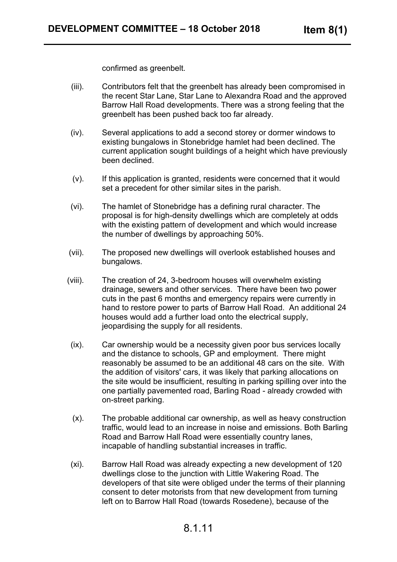confirmed as greenbelt.

- (iii). Contributors felt that the greenbelt has already been compromised in the recent Star Lane, Star Lane to Alexandra Road and the approved Barrow Hall Road developments. There was a strong feeling that the greenbelt has been pushed back too far already.
- (iv). Several applications to add a second storey or dormer windows to existing bungalows in Stonebridge hamlet had been declined. The current application sought buildings of a height which have previously been declined.
- (v). If this application is granted, residents were concerned that it would set a precedent for other similar sites in the parish.
- (vi). The hamlet of Stonebridge has a defining rural character. The proposal is for high-density dwellings which are completely at odds with the existing pattern of development and which would increase the number of dwellings by approaching 50%.
- (vii). The proposed new dwellings will overlook established houses and bungalows.
- (viii). The creation of 24, 3-bedroom houses will overwhelm existing drainage, sewers and other services. There have been two power cuts in the past 6 months and emergency repairs were currently in hand to restore power to parts of Barrow Hall Road. An additional 24 houses would add a further load onto the electrical supply, jeopardising the supply for all residents.
- (ix). Car ownership would be a necessity given poor bus services locally and the distance to schools, GP and employment. There might reasonably be assumed to be an additional 48 cars on the site. With the addition of visitors' cars, it was likely that parking allocations on the site would be insufficient, resulting in parking spilling over into the one partially pavemented road, Barling Road - already crowded with on-street parking.
- (x). The probable additional car ownership, as well as heavy construction traffic, would lead to an increase in noise and emissions. Both Barling Road and Barrow Hall Road were essentially country lanes, incapable of handling substantial increases in traffic.
- (xi). Barrow Hall Road was already expecting a new development of 120 dwellings close to the junction with Little Wakering Road. The developers of that site were obliged under the terms of their planning consent to deter motorists from that new development from turning left on to Barrow Hall Road (towards Rosedene), because of the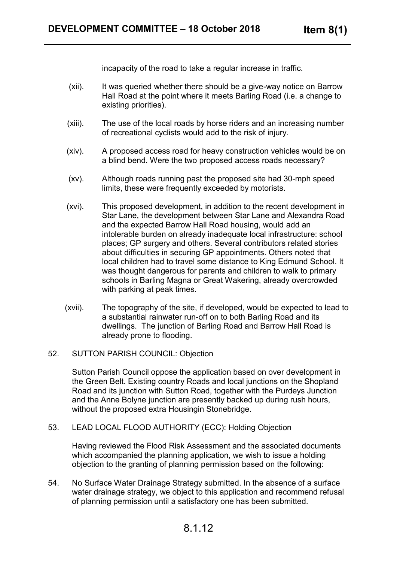incapacity of the road to take a regular increase in traffic.

- (xii). It was queried whether there should be a give-way notice on Barrow Hall Road at the point where it meets Barling Road (i.e. a change to existing priorities).
- (xiii). The use of the local roads by horse riders and an increasing number of recreational cyclists would add to the risk of injury.
- (xiv). A proposed access road for heavy construction vehicles would be on a blind bend. Were the two proposed access roads necessary?
- (xv). Although roads running past the proposed site had 30-mph speed limits, these were frequently exceeded by motorists.
- (xvi). This proposed development, in addition to the recent development in Star Lane, the development between Star Lane and Alexandra Road and the expected Barrow Hall Road housing, would add an intolerable burden on already inadequate local infrastructure: school places; GP surgery and others. Several contributors related stories about difficulties in securing GP appointments. Others noted that local children had to travel some distance to King Edmund School. It was thought dangerous for parents and children to walk to primary schools in Barling Magna or Great Wakering, already overcrowded with parking at peak times.
- (xvii). The topography of the site, if developed, would be expected to lead to a substantial rainwater run-off on to both Barling Road and its dwellings. The junction of Barling Road and Barrow Hall Road is already prone to flooding.
- 52. SUTTON PARISH COUNCIL: Objection

Sutton Parish Council oppose the application based on over development in the Green Belt. Existing country Roads and local junctions on the Shopland Road and its junction with Sutton Road, together with the Purdeys Junction and the Anne Bolyne junction are presently backed up during rush hours, without the proposed extra Housingin Stonebridge.

53. LEAD LOCAL FLOOD AUTHORITY (ECC): Holding Objection

Having reviewed the Flood Risk Assessment and the associated documents which accompanied the planning application, we wish to issue a holding objection to the granting of planning permission based on the following:

54. No Surface Water Drainage Strategy submitted. In the absence of a surface water drainage strategy, we object to this application and recommend refusal of planning permission until a satisfactory one has been submitted.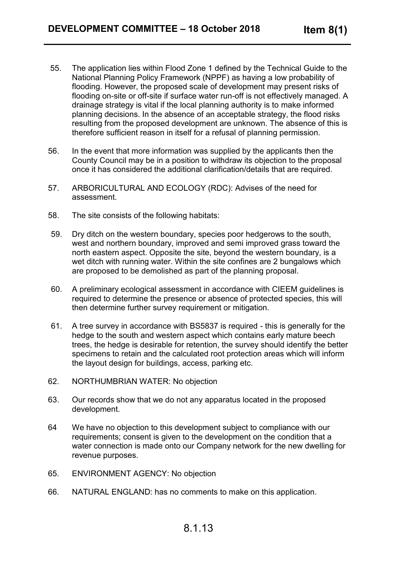- 55. The application lies within Flood Zone 1 defined by the Technical Guide to the National Planning Policy Framework (NPPF) as having a low probability of flooding. However, the proposed scale of development may present risks of flooding on-site or off-site if surface water run-off is not effectively managed. A drainage strategy is vital if the local planning authority is to make informed planning decisions. In the absence of an acceptable strategy, the flood risks resulting from the proposed development are unknown. The absence of this is therefore sufficient reason in itself for a refusal of planning permission.
- 56. In the event that more information was supplied by the applicants then the County Council may be in a position to withdraw its objection to the proposal once it has considered the additional clarification/details that are required.
- 57. ARBORICULTURAL AND ECOLOGY (RDC): Advises of the need for assessment.
- 58. The site consists of the following habitats:
- 59. Dry ditch on the western boundary, species poor hedgerows to the south, west and northern boundary, improved and semi improved grass toward the north eastern aspect. Opposite the site, beyond the western boundary, is a wet ditch with running water. Within the site confines are 2 bungalows which are proposed to be demolished as part of the planning proposal.
- 60. A preliminary ecological assessment in accordance with CIEEM guidelines is required to determine the presence or absence of protected species, this will then determine further survey requirement or mitigation.
- 61. A tree survey in accordance with BS5837 is required this is generally for the hedge to the south and western aspect which contains early mature beech trees, the hedge is desirable for retention, the survey should identify the better specimens to retain and the calculated root protection areas which will inform the layout design for buildings, access, parking etc.
- 62. NORTHUMBRIAN WATER: No objection
- 63. Our records show that we do not any apparatus located in the proposed development.
- 64 We have no objection to this development subject to compliance with our requirements; consent is given to the development on the condition that a water connection is made onto our Company network for the new dwelling for revenue purposes.
- 65. ENVIRONMENT AGENCY: No objection
- 66. NATURAL ENGLAND: has no comments to make on this application.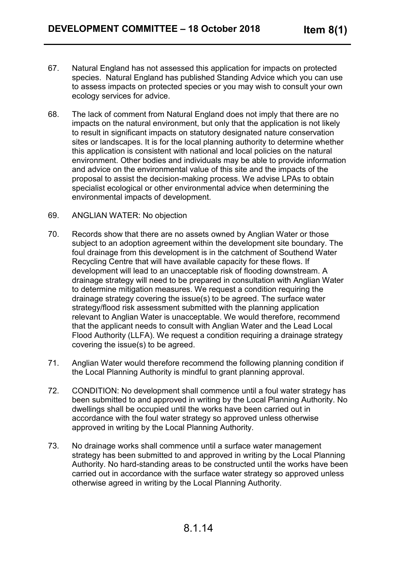- 67. Natural England has not assessed this application for impacts on protected species. Natural England has published Standing Advice which you can use to assess impacts on protected species or you may wish to consult your own ecology services for advice.
- 68. The lack of comment from Natural England does not imply that there are no impacts on the natural environment, but only that the application is not likely to result in significant impacts on statutory designated nature conservation sites or landscapes. It is for the local planning authority to determine whether this application is consistent with national and local policies on the natural environment. Other bodies and individuals may be able to provide information and advice on the environmental value of this site and the impacts of the proposal to assist the decision-making process. We advise LPAs to obtain specialist ecological or other environmental advice when determining the environmental impacts of development.
- 69. ANGLIAN WATER: No objection
- 70. Records show that there are no assets owned by Anglian Water or those subject to an adoption agreement within the development site boundary. The foul drainage from this development is in the catchment of Southend Water Recycling Centre that will have available capacity for these flows. If development will lead to an unacceptable risk of flooding downstream. A drainage strategy will need to be prepared in consultation with Anglian Water to determine mitigation measures. We request a condition requiring the drainage strategy covering the issue(s) to be agreed. The surface water strategy/flood risk assessment submitted with the planning application relevant to Anglian Water is unacceptable. We would therefore, recommend that the applicant needs to consult with Anglian Water and the Lead Local Flood Authority (LLFA). We request a condition requiring a drainage strategy covering the issue(s) to be agreed.
- 71. Anglian Water would therefore recommend the following planning condition if the Local Planning Authority is mindful to grant planning approval.
- 72. CONDITION: No development shall commence until a foul water strategy has been submitted to and approved in writing by the Local Planning Authority. No dwellings shall be occupied until the works have been carried out in accordance with the foul water strategy so approved unless otherwise approved in writing by the Local Planning Authority.
- 73. No drainage works shall commence until a surface water management strategy has been submitted to and approved in writing by the Local Planning Authority. No hard-standing areas to be constructed until the works have been carried out in accordance with the surface water strategy so approved unless otherwise agreed in writing by the Local Planning Authority.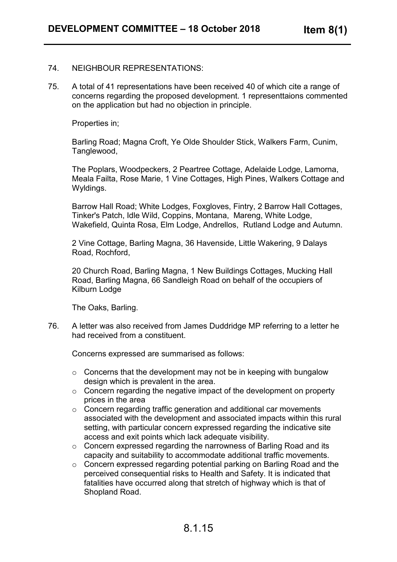#### 74. NEIGHBOUR REPRESENTATIONS:

75. A total of 41 representations have been received 40 of which cite a range of concerns regarding the proposed development. 1 representtaions commented on the application but had no objection in principle.

Properties in;

Barling Road; Magna Croft, Ye Olde Shoulder Stick, Walkers Farm, Cunim, Tanglewood,

The Poplars, Woodpeckers, 2 Peartree Cottage, Adelaide Lodge, Lamorna, Meala Failta, Rose Marie, 1 Vine Cottages, High Pines, Walkers Cottage and Wyldings.

Barrow Hall Road; White Lodges, Foxgloves, Fintry, 2 Barrow Hall Cottages, Tinker's Patch, Idle Wild, Coppins, Montana, Mareng, White Lodge, Wakefield, Quinta Rosa, Elm Lodge, Andrellos, Rutland Lodge and Autumn.

2 Vine Cottage, Barling Magna, 36 Havenside, Little Wakering, 9 Dalays Road, Rochford,

20 Church Road, Barling Magna, 1 New Buildings Cottages, Mucking Hall Road, Barling Magna, 66 Sandleigh Road on behalf of the occupiers of Kilburn Lodge

The Oaks, Barling.

76. A letter was also received from James Duddridge MP referring to a letter he had received from a constituent.

Concerns expressed are summarised as follows:

- $\circ$  Concerns that the development may not be in keeping with bungalow design which is prevalent in the area.
- $\circ$  Concern regarding the negative impact of the development on property prices in the area
- o Concern regarding traffic generation and additional car movements associated with the development and associated impacts within this rural setting, with particular concern expressed regarding the indicative site access and exit points which lack adequate visibility.
- o Concern expressed regarding the narrowness of Barling Road and its capacity and suitability to accommodate additional traffic movements.
- o Concern expressed regarding potential parking on Barling Road and the perceived consequential risks to Health and Safety. It is indicated that fatalities have occurred along that stretch of highway which is that of Shopland Road.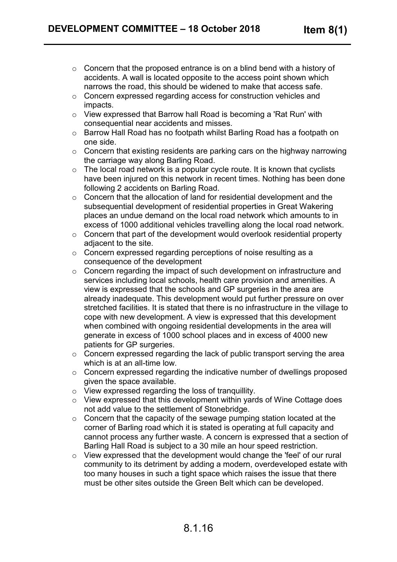- o Concern that the proposed entrance is on a blind bend with a history of accidents. A wall is located opposite to the access point shown which narrows the road, this should be widened to make that access safe.
- o Concern expressed regarding access for construction vehicles and impacts.
- o View expressed that Barrow hall Road is becoming a 'Rat Run' with consequential near accidents and misses.
- o Barrow Hall Road has no footpath whilst Barling Road has a footpath on one side.
- o Concern that existing residents are parking cars on the highway narrowing the carriage way along Barling Road.
- $\circ$  The local road network is a popular cycle route. It is known that cyclists have been injured on this network in recent times. Nothing has been done following 2 accidents on Barling Road.
- o Concern that the allocation of land for residential development and the subsequential development of residential properties in Great Wakering places an undue demand on the local road network which amounts to in excess of 1000 additional vehicles travelling along the local road network.
- o Concern that part of the development would overlook residential property adjacent to the site.
- o Concern expressed regarding perceptions of noise resulting as a consequence of the development
- o Concern regarding the impact of such development on infrastructure and services including local schools, health care provision and amenities. A view is expressed that the schools and GP surgeries in the area are already inadequate. This development would put further pressure on over stretched facilities. It is stated that there is no infrastructure in the village to cope with new development. A view is expressed that this development when combined with ongoing residential developments in the area will generate in excess of 1000 school places and in excess of 4000 new patients for GP surgeries.
- o Concern expressed regarding the lack of public transport serving the area which is at an all-time low.
- o Concern expressed regarding the indicative number of dwellings proposed given the space available.
- o View expressed regarding the loss of tranquillity.
- o View expressed that this development within yards of Wine Cottage does not add value to the settlement of Stonebridge.
- o Concern that the capacity of the sewage pumping station located at the corner of Barling road which it is stated is operating at full capacity and cannot process any further waste. A concern is expressed that a section of Barling Hall Road is subject to a 30 mile an hour speed restriction.
- o View expressed that the development would change the 'feel' of our rural community to its detriment by adding a modern, overdeveloped estate with too many houses in such a tight space which raises the issue that there must be other sites outside the Green Belt which can be developed.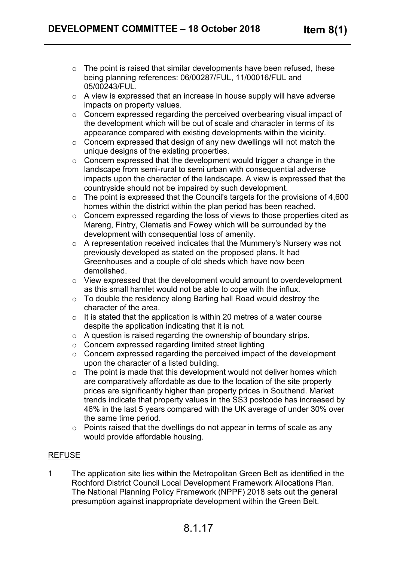- $\circ$  The point is raised that similar developments have been refused, these being planning references: 06/00287/FUL, 11/00016/FUL and 05/00243/FUL.
- o A view is expressed that an increase in house supply will have adverse impacts on property values.
- o Concern expressed regarding the perceived overbearing visual impact of the development which will be out of scale and character in terms of its appearance compared with existing developments within the vicinity.
- o Concern expressed that design of any new dwellings will not match the unique designs of the existing properties.
- $\circ$  Concern expressed that the development would trigger a change in the landscape from semi-rural to semi urban with consequential adverse impacts upon the character of the landscape. A view is expressed that the countryside should not be impaired by such development.
- $\circ$  The point is expressed that the Council's targets for the provisions of 4,600 homes within the district within the plan period has been reached.
- o Concern expressed regarding the loss of views to those properties cited as Mareng, Fintry, Clematis and Fowey which will be surrounded by the development with consequential loss of amenity.
- o A representation received indicates that the Mummery's Nursery was not previously developed as stated on the proposed plans. It had Greenhouses and a couple of old sheds which have now been demolished.
- o View expressed that the development would amount to overdevelopment as this small hamlet would not be able to cope with the influx.
- o To double the residency along Barling hall Road would destroy the character of the area.
- $\circ$  It is stated that the application is within 20 metres of a water course despite the application indicating that it is not.
- o A question is raised regarding the ownership of boundary strips.
- o Concern expressed regarding limited street lighting
- o Concern expressed regarding the perceived impact of the development upon the character of a listed building.
- $\circ$  The point is made that this development would not deliver homes which are comparatively affordable as due to the location of the site property prices are significantly higher than property prices in Southend. Market trends indicate that property values in the SS3 postcode has increased by 46% in the last 5 years compared with the UK average of under 30% over the same time period.
- o Points raised that the dwellings do not appear in terms of scale as any would provide affordable housing.

## REFUSE

1 The application site lies within the Metropolitan Green Belt as identified in the Rochford District Council Local Development Framework Allocations Plan. The National Planning Policy Framework (NPPF) 2018 sets out the general presumption against inappropriate development within the Green Belt.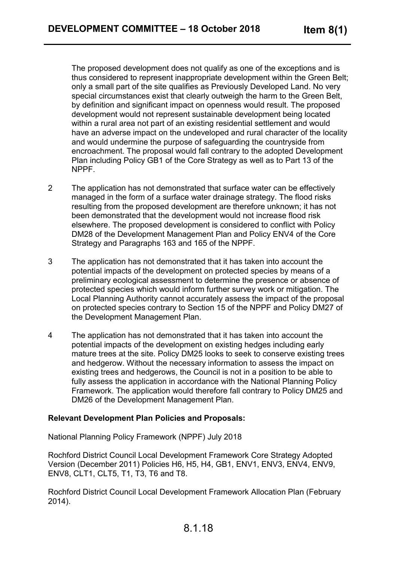The proposed development does not qualify as one of the exceptions and is thus considered to represent inappropriate development within the Green Belt; only a small part of the site qualifies as Previously Developed Land. No very special circumstances exist that clearly outweigh the harm to the Green Belt, by definition and significant impact on openness would result. The proposed development would not represent sustainable development being located within a rural area not part of an existing residential settlement and would have an adverse impact on the undeveloped and rural character of the locality and would undermine the purpose of safeguarding the countryside from encroachment. The proposal would fall contrary to the adopted Development Plan including Policy GB1 of the Core Strategy as well as to Part 13 of the NPPF.

- 2 The application has not demonstrated that surface water can be effectively managed in the form of a surface water drainage strategy. The flood risks resulting from the proposed development are therefore unknown; it has not been demonstrated that the development would not increase flood risk elsewhere. The proposed development is considered to conflict with Policy DM28 of the Development Management Plan and Policy ENV4 of the Core Strategy and Paragraphs 163 and 165 of the NPPF.
- 3 The application has not demonstrated that it has taken into account the potential impacts of the development on protected species by means of a preliminary ecological assessment to determine the presence or absence of protected species which would inform further survey work or mitigation. The Local Planning Authority cannot accurately assess the impact of the proposal on protected species contrary to Section 15 of the NPPF and Policy DM27 of the Development Management Plan.
- 4 The application has not demonstrated that it has taken into account the potential impacts of the development on existing hedges including early mature trees at the site. Policy DM25 looks to seek to conserve existing trees and hedgerow. Without the necessary information to assess the impact on existing trees and hedgerows, the Council is not in a position to be able to fully assess the application in accordance with the National Planning Policy Framework. The application would therefore fall contrary to Policy DM25 and DM26 of the Development Management Plan.

#### **Relevant Development Plan Policies and Proposals:**

National Planning Policy Framework (NPPF) July 2018

Rochford District Council Local Development Framework Core Strategy Adopted Version (December 2011) Policies H6, H5, H4, GB1, ENV1, ENV3, ENV4, ENV9, ENV8, CLT1, CLT5, T1, T3, T6 and T8.

Rochford District Council Local Development Framework Allocation Plan (February 2014).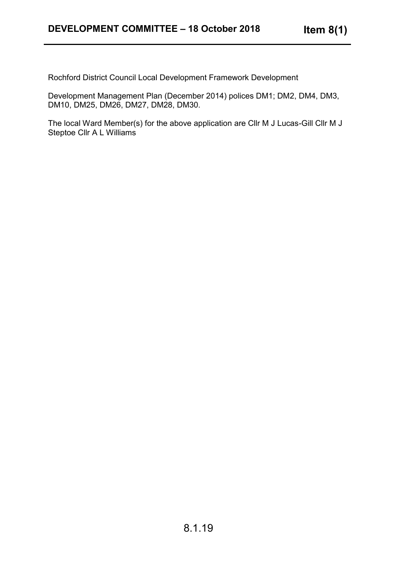Rochford District Council Local Development Framework Development

Development Management Plan (December 2014) polices DM1; DM2, DM4, DM3, DM10, DM25, DM26, DM27, DM28, DM30.

The local Ward Member(s) for the above application are Cllr M J Lucas-Gill Cllr M J Steptoe Cllr A L Williams